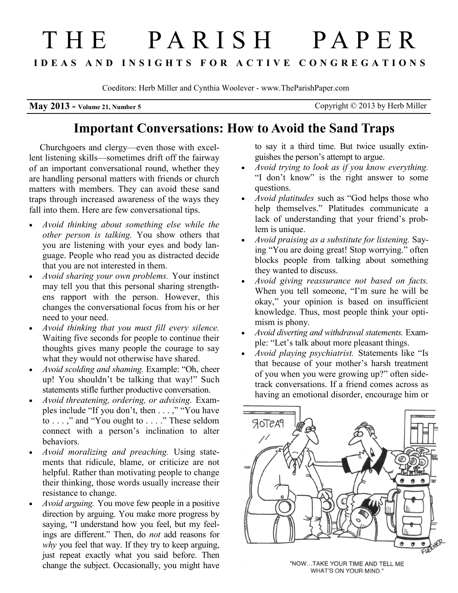# THE PARISH PAPER **I D E A S A N D I N S I G H T S F O R A C T I V E C O N G R E G A T I O N S**

Coeditors: Herb Miller and Cynthia Woolever - www.TheParishPaper.com

**May 2013 - Volume 21, Number 5** Copyright © 2013 by Herb Miller

## **Important Conversations: How to Avoid the Sand Traps**

Churchgoers and clergy—even those with excellent listening skills—sometimes drift off the fairway of an important conversational round, whether they are handling personal matters with friends or church matters with members. They can avoid these sand traps through increased awareness of the ways they fall into them. Here are few conversational tips.

- *Avoid thinking about something else while the other person is talking.* You show others that you are listening with your eyes and body language. People who read you as distracted decide that you are not interested in them.
- *Avoid sharing your own problems.* Your instinct may tell you that this personal sharing strengthens rapport with the person. However, this changes the conversational focus from his or her need to your need.
- *Avoid thinking that you must fill every silence.* Waiting five seconds for people to continue their thoughts gives many people the courage to say what they would not otherwise have shared.
- *Avoid scolding and shaming.* Example: "Oh, cheer up! You shouldn't be talking that way!" Such statements stifle further productive conversation.
- *Avoid threatening, ordering, or advising.* Examples include "If you don't, then . . . ," "You have to . . . ," and "You ought to . . . ." These seldom connect with a person's inclination to alter behaviors.
- *Avoid moralizing and preaching.* Using statements that ridicule, blame, or criticize are not helpful. Rather than motivating people to change their thinking, those words usually increase their resistance to change.
- *Avoid arguing.* You move few people in a positive direction by arguing. You make more progress by saying, "I understand how you feel, but my feelings are different." Then, do *not* add reasons for *why* you feel that way. If they try to keep arguing, just repeat exactly what you said before. Then change the subject. Occasionally, you might have

to say it a third time. But twice usually extinguishes the person's attempt to argue.

- *Avoid trying to look as if you know everything.* "I don't know" is the right answer to some questions.
- *Avoid platitudes* such as "God helps those who help themselves." Platitudes communicate a lack of understanding that your friend's problem is unique.
- *Avoid praising as a substitute for listening.* Saying "You are doing great! Stop worrying." often blocks people from talking about something they wanted to discuss.
- *Avoid giving reassurance not based on facts.*  When you tell someone, "I'm sure he will be okay," your opinion is based on insufficient knowledge. Thus, most people think your optimism is phony.
- *Avoid diverting and withdrawal statements.* Example: "Let's talk about more pleasant things.
- *Avoid playing psychiatrist.* Statements like "Is that because of your mother's harsh treatment of you when you were growing up?" often sidetrack conversations. If a friend comes across as having an emotional disorder, encourage him or



"NOW...TAKE YOUR TIME AND TELL ME WHAT'S ON YOUR MIND."